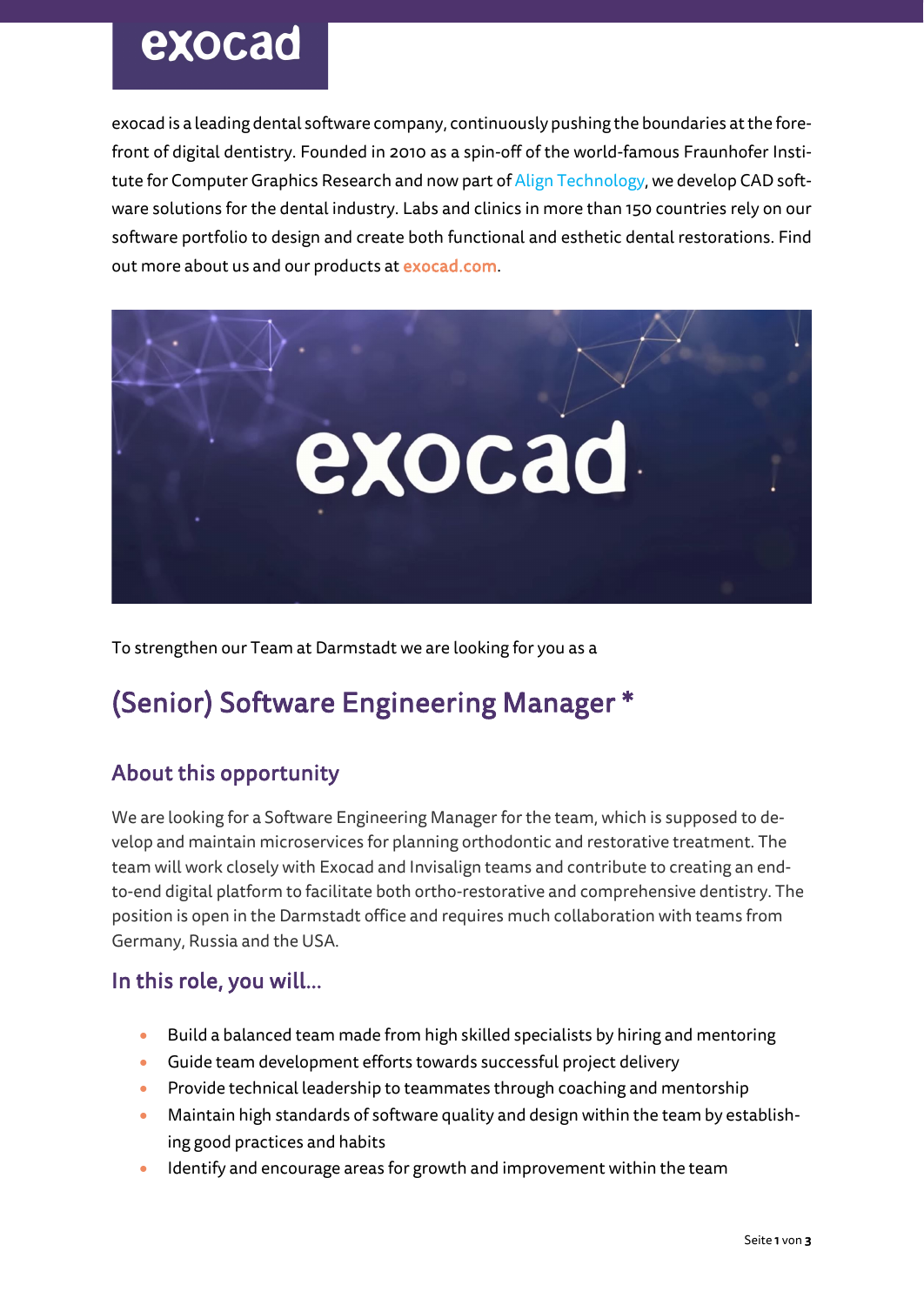# exocad

exocad is a leading dental software company, continuously pushing the boundaries at the forefront of digital dentistry. Founded in 2010 as a spin-off of the world-famous Fraunhofer Institute for Computer Graphics Research and now part of Align Technology, we develop CAD software solutions for the dental industry. Labs and clinics in more than 150 countries rely on our software portfolio to design and create both functional and esthetic dental restorations. Find out more about us and our products at exocad.com.



To strengthen our Team at Darmstadt we are looking for you as a

# (Senior) Software Engineering Manager \*

# About this opportunity

We are looking for a Software Engineering Manager for the team, which is supposed to develop and maintain microservices for planning orthodontic and restorative treatment. The team will work closely with Exocad and Invisalign teams and contribute to creating an endto-end digital platform to facilitate both ortho-restorative and comprehensive dentistry. The position is open in the Darmstadt office and requires much collaboration with teams from Germany, Russia and the USA.

### In this role, you will…

- Build a balanced team made from high skilled specialists by hiring and mentoring
- Guide team development efforts towards successful project delivery
- Provide technical leadership to teammates through coaching and mentorship
- Maintain high standards of software quality and design within the team by establishing good practices and habits
- Identify and encourage areas for growth and improvement within the team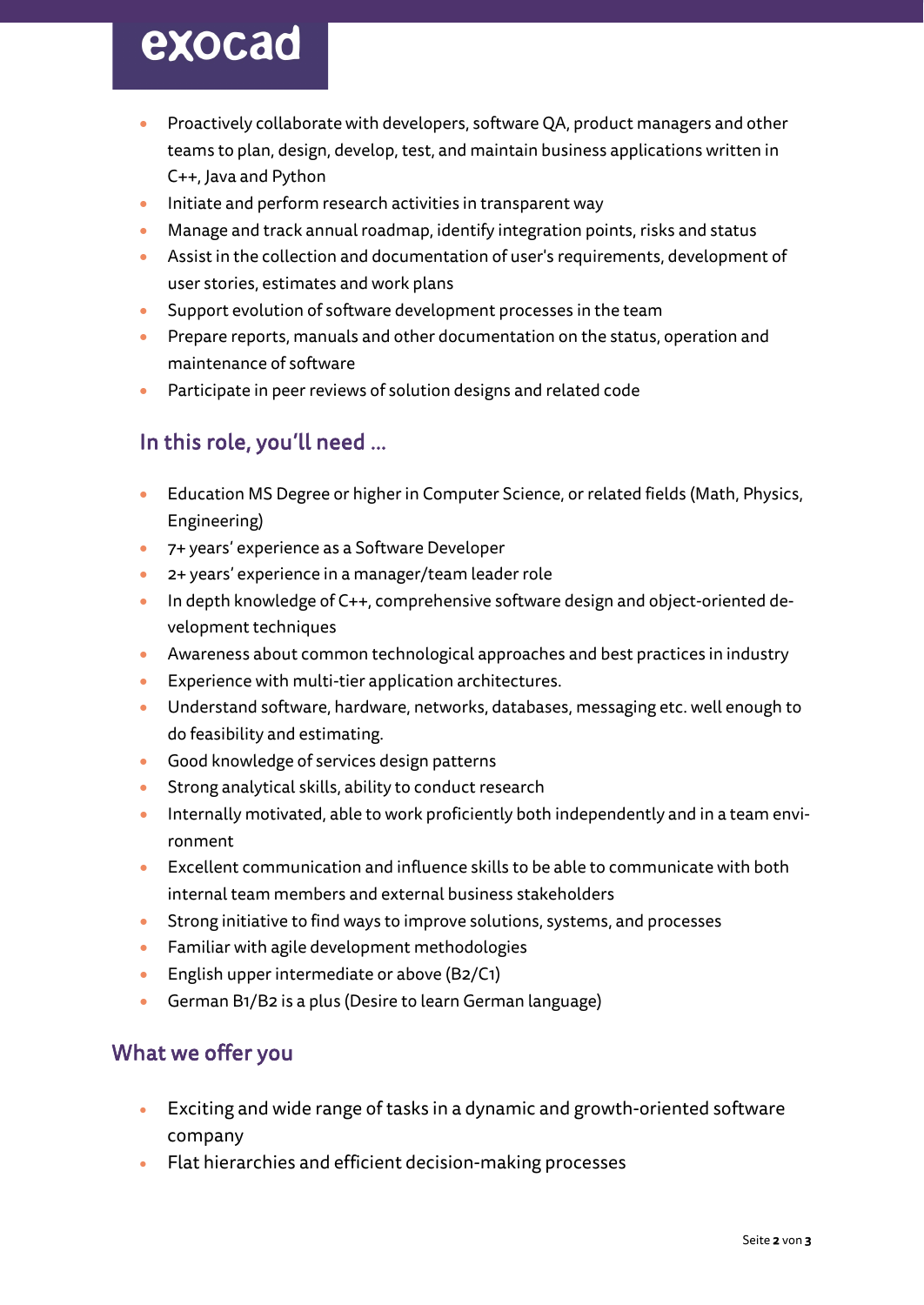# exocad

- Proactively collaborate with developers, software QA, product managers and other teams to plan, design, develop, test, and maintain business applications written in C++, Java and Python
- Initiate and perform research activities in transparent way
- Manage and track annual roadmap, identify integration points, risks and status
- Assist in the collection and documentation of user's requirements, development of user stories, estimates and work plans
- Support evolution of software development processes in the team
- Prepare reports, manuals and other documentation on the status, operation and maintenance of software
- Participate in peer reviews of solution designs and related code

## In this role, you'll need …

- Education MS Degree or higher in Computer Science, or related fields (Math, Physics, Engineering)
- 7+ years' experience as a Software Developer
- 2+ years' experience in a manager/team leader role
- In depth knowledge of C++, comprehensive software design and object-oriented development techniques
- Awareness about common technological approaches and best practices in industry
- Experience with multi-tier application architectures.
- Understand software, hardware, networks, databases, messaging etc. well enough to do feasibility and estimating.
- Good knowledge of services design patterns
- Strong analytical skills, ability to conduct research
- Internally motivated, able to work proficiently both independently and in a team environment
- Excellent communication and influence skills to be able to communicate with both internal team members and external business stakeholders
- Strong initiative to find ways to improve solutions, systems, and processes
- Familiar with agile development methodologies
- English upper intermediate or above (B2/C1)
- German B1/B2 is a plus (Desire to learn German language)

### What we offer you

- Exciting and wide range of tasks in a dynamic and growth-oriented software company
- Flat hierarchies and efficient decision-making processes